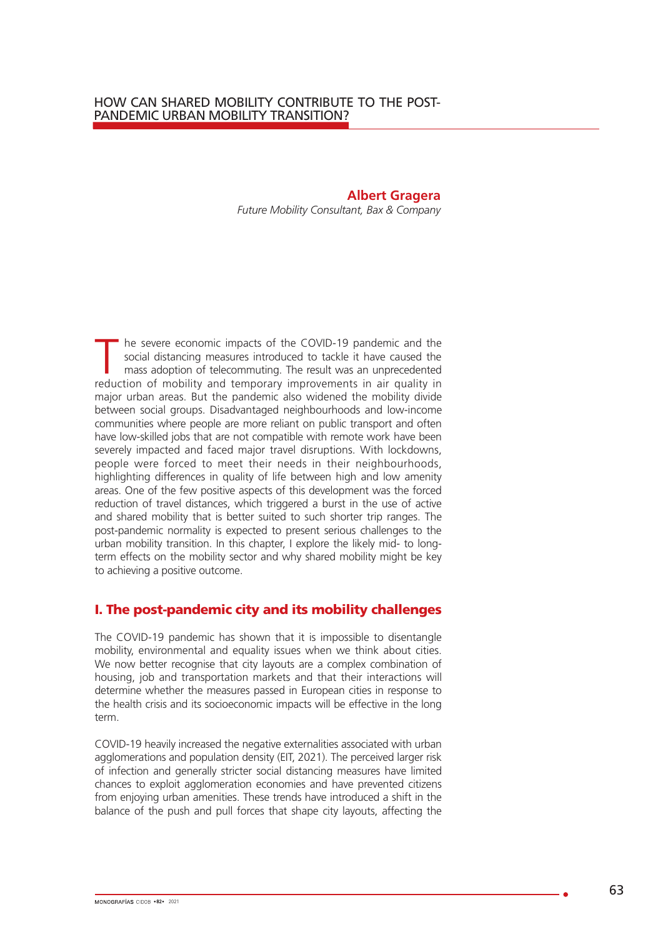**Albert Gragera** *Future Mobility Consultant, Bax & Company* 

T he severe economic impacts of the COVID-19 pandemic and the social distancing measures introduced to tackle it have caused the mass adoption of telecommuting. The result was an unprecedented reduction of mobility and tem social distancing measures introduced to tackle it have caused the reduction of mobility and temporary improvements in air quality in major urban areas. But the pandemic also widened the mobility divide between social groups. Disadvantaged neighbourhoods and low-income communities where people are more reliant on public transport and often have low-skilled jobs that are not compatible with remote work have been severely impacted and faced major travel disruptions. With lockdowns, people were forced to meet their needs in their neighbourhoods, highlighting differences in quality of life between high and low amenity areas. One of the few positive aspects of this development was the forced reduction of travel distances, which triggered a burst in the use of active and shared mobility that is better suited to such shorter trip ranges. The post-pandemic normality is expected to present serious challenges to the urban mobility transition. In this chapter, I explore the likely mid- to longterm effects on the mobility sector and why shared mobility might be key to achieving a positive outcome.

## I. The post-pandemic city and its mobility challenges

The COVID-19 pandemic has shown that it is impossible to disentangle mobility, environmental and equality issues when we think about cities. We now better recognise that city layouts are a complex combination of housing, job and transportation markets and that their interactions will determine whether the measures passed in European cities in response to the health crisis and its socioeconomic impacts will be effective in the long term.

COVID-19 heavily increased the negative externalities associated with urban agglomerations and population density (EIT, 2021). The perceived larger risk of infection and generally stricter social distancing measures have limited chances to exploit agglomeration economies and have prevented citizens from enjoying urban amenities. These trends have introduced a shift in the balance of the push and pull forces that shape city layouts, affecting the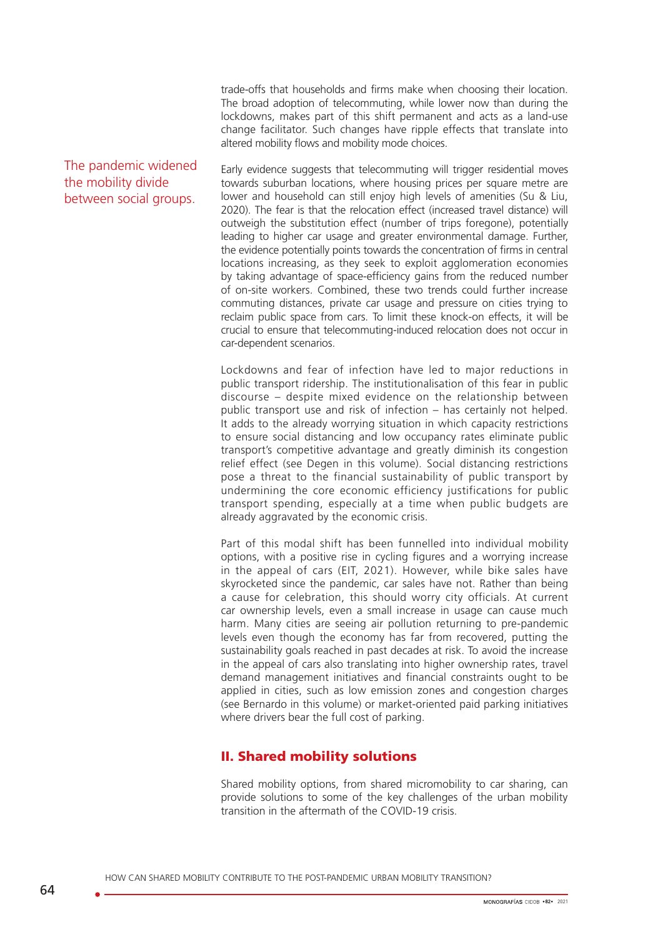trade-offs that households and firms make when choosing their location. The broad adoption of telecommuting, while lower now than during the lockdowns, makes part of this shift permanent and acts as a land-use change facilitator. Such changes have ripple effects that translate into altered mobility flows and mobility mode choices.

The pandemic widened the mobility divide between social groups.

Early evidence suggests that telecommuting will trigger residential moves towards suburban locations, where housing prices per square metre are lower and household can still enjoy high levels of amenities (Su & Liu, 2020). The fear is that the relocation effect (increased travel distance) will outweigh the substitution effect (number of trips foregone), potentially leading to higher car usage and greater environmental damage. Further, the evidence potentially points towards the concentration of firms in central locations increasing, as they seek to exploit agglomeration economies by taking advantage of space-efficiency gains from the reduced number of on-site workers. Combined, these two trends could further increase commuting distances, private car usage and pressure on cities trying to reclaim public space from cars. To limit these knock-on effects, it will be crucial to ensure that telecommuting-induced relocation does not occur in car-dependent scenarios.

Lockdowns and fear of infection have led to major reductions in public transport ridership. The institutionalisation of this fear in public discourse – despite mixed evidence on the relationship between public transport use and risk of infection – has certainly not helped. It adds to the already worrying situation in which capacity restrictions to ensure social distancing and low occupancy rates eliminate public transport's competitive advantage and greatly diminish its congestion relief effect (see Degen in this volume). Social distancing restrictions pose a threat to the financial sustainability of public transport by undermining the core economic efficiency justifications for public transport spending, especially at a time when public budgets are already aggravated by the economic crisis.

Part of this modal shift has been funnelled into individual mobility options, with a positive rise in cycling figures and a worrying increase in the appeal of cars (EIT, 2021). However, while bike sales have skyrocketed since the pandemic, car sales have not. Rather than being a cause for celebration, this should worry city officials. At current car ownership levels, even a small increase in usage can cause much harm. Many cities are seeing air pollution returning to pre-pandemic levels even though the economy has far from recovered, putting the sustainability goals reached in past decades at risk. To avoid the increase in the appeal of cars also translating into higher ownership rates, travel demand management initiatives and financial constraints ought to be applied in cities, such as low emission zones and congestion charges (see Bernardo in this volume) or market-oriented paid parking initiatives where drivers bear the full cost of parking.

## II. Shared mobility solutions

Shared mobility options, from shared micromobility to car sharing, can provide solutions to some of the key challenges of the urban mobility transition in the aftermath of the COVID-19 crisis.

HOW CAN SHARED MOBILITY CONTRIBUTE TO THE POST-PANDEMIC URBAN MOBILITY TRANSITION?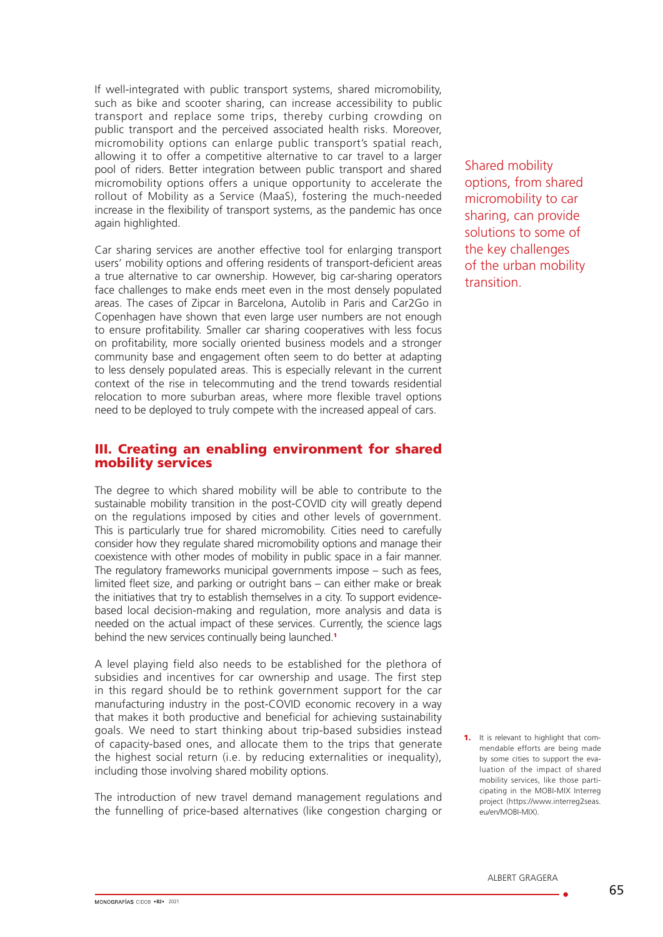If well-integrated with public transport systems, shared micromobility, such as bike and scooter sharing, can increase accessibility to public transport and replace some trips, thereby curbing crowding on public transport and the perceived associated health risks. Moreover, micromobility options can enlarge public transport's spatial reach, allowing it to offer a competitive alternative to car travel to a larger pool of riders. Better integration between public transport and shared micromobility options offers a unique opportunity to accelerate the rollout of Mobility as a Service (MaaS), fostering the much-needed increase in the flexibility of transport systems, as the pandemic has once again highlighted.

Car sharing services are another effective tool for enlarging transport users' mobility options and offering residents of transport-deficient areas a true alternative to car ownership. However, big car-sharing operators face challenges to make ends meet even in the most densely populated areas. The cases of Zipcar in Barcelona, Autolib in Paris and Car2Go in Copenhagen have shown that even large user numbers are not enough to ensure profitability. Smaller car sharing cooperatives with less focus on profitability, more socially oriented business models and a stronger community base and engagement often seem to do better at adapting to less densely populated areas. This is especially relevant in the current context of the rise in telecommuting and the trend towards residential relocation to more suburban areas, where more flexible travel options need to be deployed to truly compete with the increased appeal of cars.

## III. Creating an enabling environment for shared mobility services

The degree to which shared mobility will be able to contribute to the sustainable mobility transition in the post-COVID city will greatly depend on the regulations imposed by cities and other levels of government. This is particularly true for shared micromobility. Cities need to carefully consider how they regulate shared micromobility options and manage their coexistence with other modes of mobility in public space in a fair manner. The regulatory frameworks municipal governments impose – such as fees, limited fleet size, and parking or outright bans – can either make or break the initiatives that try to establish themselves in a city. To support evidencebased local decision-making and regulation, more analysis and data is needed on the actual impact of these services. Currently, the science lags behind the new services continually being launched.<sup>1</sup>

A level playing field also needs to be established for the plethora of subsidies and incentives for car ownership and usage. The first step in this regard should be to rethink government support for the car manufacturing industry in the post-COVID economic recovery in a way that makes it both productive and beneficial for achieving sustainability goals. We need to start thinking about trip-based subsidies instead of capacity-based ones, and allocate them to the trips that generate the highest social return (i.e. by reducing externalities or inequality), including those involving shared mobility options.

The introduction of new travel demand management regulations and the funnelling of price-based alternatives (like congestion charging or Shared mobility options, from shared micromobility to car sharing, can provide solutions to some of the key challenges of the urban mobility transition.

1. It is relevant to highlight that commendable efforts are being made by some cities to support the evaluation of the impact of shared mobility services, like those participating in the MOBI-MIX Interreg project (https://www.interreg2seas. eu/en/MOBI-MIX).